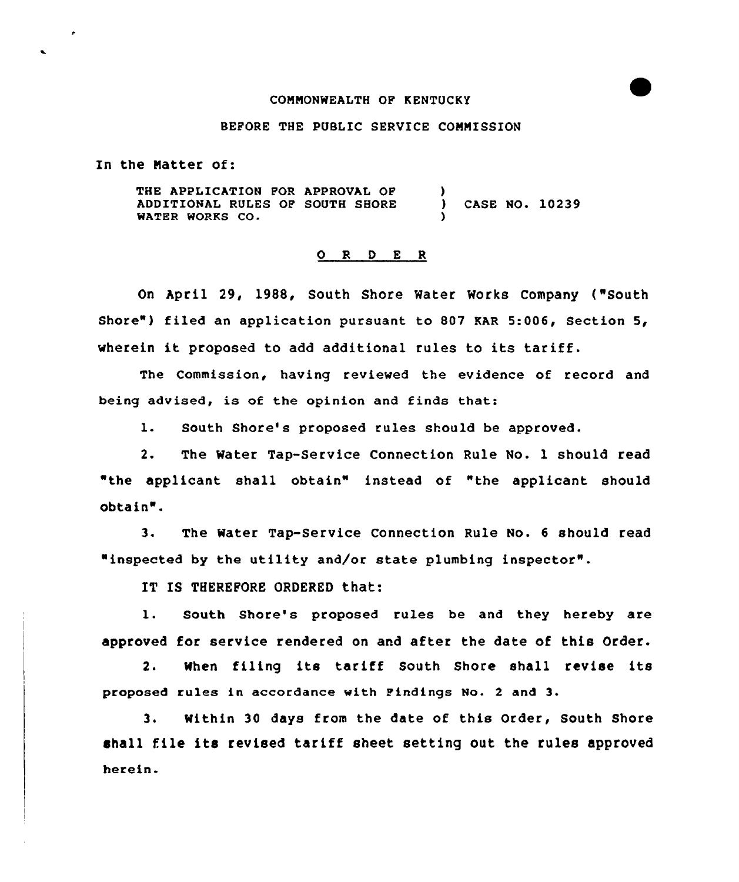## CONNONWEALTH OF KENTUCKY

## BEFORE THE PUBLIC SERVICE CONNISSION

In the Natter of:

×

THE APPLICATION FOR APPROVAL OF ADDITIONAL RULES OF SOUTH SHORE WATER WORKS CO ) ) CASE NO. 10239 )

## O R D E R

On April 29, 1988, South Shore Water Works Company ("South Shore") filed an application pursuant to 807 KAR 5:006, Section 5, wherein it proposed to add additional rules to its tariff.

The Commission, having reviewed the evidence of record and being advised, is of the opinion and finds that:

l. South Shore's proposed rules should be approved.

2. The Water Tap-Service Connection Rule No. 1 should read "the applicant shall obtain" instead of "the applicant should obtain".

3. The Water Tap-Service Connection Rule No. <sup>6</sup> should read "inspected by the utility and/or state plumbing inspector".

IT IS THEREFORE ORDERED that:

1. South Shore's proposed rules be and they hereby are approved for service rendered on and after the date of this Order.

2. When filing its tariff South Shore shall revise its proposed rules in accordance with Findings No. <sup>2</sup> and 3.

3. Within 30 days from the date of this Order, South Shore shall file its revised tariff sheet setting out the rules approved herein.